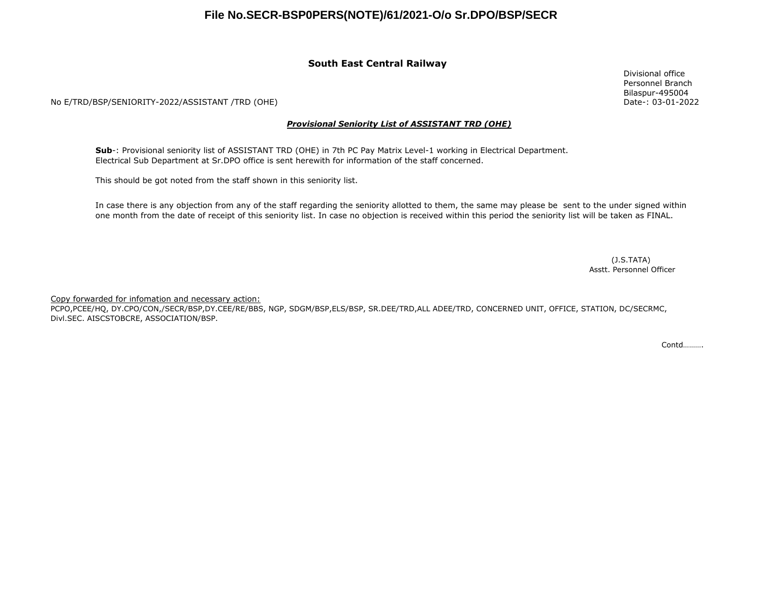#### **South East Central Railway**

No E/TRD/BSP/SENIORITY-2022/ASSISTANT /TRD (OHE)

#### *Provisional Seniority List of ASSISTANT TRD (OHE)*

**Sub**-: Provisional seniority list of ASSISTANT TRD (OHE) in 7th PC Pay Matrix Level-1 working in Electrical Department. Electrical Sub Department at Sr.DPO office is sent herewith for information of the staff concerned.

This should be got noted from the staff shown in this seniority list.

In case there is any objection from any of the staff regarding the seniority allotted to them, the same may please be sent to the under signed within one month from the date of receipt of this seniority list. In case no objection is received within this period the seniority list will be taken as FINAL.

> Asstt. Personnel Officer (J.S.TATA)

Copy forwarded for infomation and necessary action:

PCPO,PCEE/HQ, DY.CPO/CON,/SECR/BSP,DY.CEE/RE/BBS, NGP, SDGM/BSP,ELS/BSP, SR.DEE/TRD,ALL ADEE/TRD, CONCERNED UNIT, OFFICE, STATION, DC/SECRMC, Divl.SEC. AISCSTOBCRE, ASSOCIATION/BSP.

Contd……….

Divisional office Personnel Branch Bilaspur-495004 Date-: 03-01-2022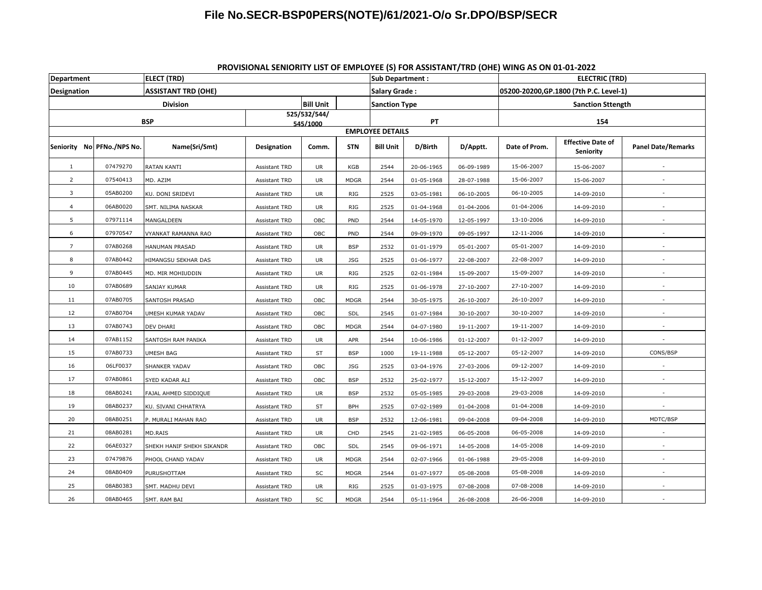| <b>Department</b> |                            | <b>ELECT (TRD)</b>         |                      |                          |             | <b>Sub Department:</b>  |                                         |            | <b>ENVISIONAL SENIONITI EDI OF ENIFEDILE (3) FON ASSISTANTI IND (OTIL) WING AS ON 01-01-2022</b><br><b>ELECTRIC (TRD)</b> |                                       |                           |  |
|-------------------|----------------------------|----------------------------|----------------------|--------------------------|-------------|-------------------------|-----------------------------------------|------------|---------------------------------------------------------------------------------------------------------------------------|---------------------------------------|---------------------------|--|
| Designation       |                            | <b>ASSISTANT TRD (OHE)</b> |                      | <b>Salary Grade:</b>     |             |                         | 05200-20200, GP.1800 (7th P.C. Level-1) |            |                                                                                                                           |                                       |                           |  |
|                   |                            | <b>Division</b>            | <b>Bill Unit</b>     |                          |             | <b>Sanction Type</b>    |                                         |            | <b>Sanction Sttength</b>                                                                                                  |                                       |                           |  |
|                   | <b>BSP</b>                 |                            |                      | 525/532/544/<br>545/1000 |             |                         | PT                                      |            |                                                                                                                           | 154                                   |                           |  |
|                   |                            |                            |                      |                          |             | <b>EMPLOYEE DETAILS</b> |                                         |            |                                                                                                                           |                                       |                           |  |
|                   | Seniority No PFNo./NPS No. | Name(Sri/Smt)              | <b>Designation</b>   | Comm.                    | <b>STN</b>  | <b>Bill Unit</b>        | D/Birth                                 | D/Apptt.   | Date of Prom.                                                                                                             | <b>Effective Date of</b><br>Seniority | <b>Panel Date/Remarks</b> |  |
| $\mathbf{1}$      | 07479270                   | RATAN KANTI                | <b>Assistant TRD</b> | <b>UR</b>                | KGB         | 2544                    | 20-06-1965                              | 06-09-1989 | 15-06-2007                                                                                                                | 15-06-2007                            |                           |  |
| 2                 | 07540413                   | MD. AZIM                   | Assistant TRD        | <b>UR</b>                | <b>MDGR</b> | 2544                    | 01-05-1968                              | 28-07-1988 | 15-06-2007                                                                                                                | 15-06-2007                            |                           |  |
| 3                 | 05AB0200                   | KU. DONI SRIDEVI           | Assistant TRD        | UR                       | RIG         | 2525                    | 03-05-1981                              | 06-10-2005 | 06-10-2005                                                                                                                | 14-09-2010                            |                           |  |
| $\overline{4}$    | 06AB0020                   | SMT. NILIMA NASKAR         | Assistant TRD        | UR                       | <b>RIG</b>  | 2525                    | 01-04-1968                              | 01-04-2006 | 01-04-2006                                                                                                                | 14-09-2010                            |                           |  |
| 5                 | 07971114                   | MANGALDEEN                 | Assistant TRD        | OBC                      | PND         | 2544                    | 14-05-1970                              | 12-05-1997 | 13-10-2006                                                                                                                | 14-09-2010                            |                           |  |
| 6                 | 07970547                   | VYANKAT RAMANNA RAO        | <b>Assistant TRD</b> | OBC                      | PND         | 2544                    | 09-09-1970                              | 09-05-1997 | 12-11-2006                                                                                                                | 14-09-2010                            |                           |  |
| $\overline{7}$    | 07AB0268                   | HANUMAN PRASAD             | Assistant TRD        | <b>UR</b>                | <b>BSP</b>  | 2532                    | 01-01-1979                              | 05-01-2007 | 05-01-2007                                                                                                                | 14-09-2010                            |                           |  |
| 8                 | 07AB0442                   | HIMANGSU SEKHAR DAS        | <b>Assistant TRD</b> | UR                       | JSG         | 2525                    | 01-06-1977                              | 22-08-2007 | 22-08-2007                                                                                                                | 14-09-2010                            |                           |  |
| 9                 | 07AB0445                   | MD. MIR MOHIUDDIN          | Assistant TRD        | <b>UR</b>                | RIG         | 2525                    | 02-01-1984                              | 15-09-2007 | 15-09-2007                                                                                                                | 14-09-2010                            |                           |  |
| 10                | 07AB0689                   | SANJAY KUMAR               | Assistant TRD        | UR                       | RIG         | 2525                    | 01-06-1978                              | 27-10-2007 | 27-10-2007                                                                                                                | 14-09-2010                            |                           |  |
| 11                | 07AB0705                   | SANTOSH PRASAD             | Assistant TRD        | OBC                      | <b>MDGR</b> | 2544                    | 30-05-1975                              | 26-10-2007 | 26-10-2007                                                                                                                | 14-09-2010                            |                           |  |
| 12                | 07AB0704                   | UMESH KUMAR YADAV          | Assistant TRD        | OBC                      | SDL         | 2545                    | 01-07-1984                              | 30-10-2007 | 30-10-2007                                                                                                                | 14-09-2010                            |                           |  |
| 13                | 07AB0743                   | DEV DHARI                  | Assistant TRD        | OBC                      | <b>MDGR</b> | 2544                    | 04-07-1980                              | 19-11-2007 | 19-11-2007                                                                                                                | 14-09-2010                            |                           |  |
| 14                | 07AB1152                   | SANTOSH RAM PANIKA         | Assistant TRD        | UR                       | APR         | 2544                    | 10-06-1986                              | 01-12-2007 | 01-12-2007                                                                                                                | 14-09-2010                            | $\sim$                    |  |
| 15                | 07AB0733                   | UMESH BAG                  | Assistant TRD        | ST                       | <b>BSP</b>  | 1000                    | 19-11-1988                              | 05-12-2007 | 05-12-2007                                                                                                                | 14-09-2010                            | CONS/BSP                  |  |
| 16                | 06LF0037                   | SHANKER YADAV              | Assistant TRD        | OBC                      | <b>JSG</b>  | 2525                    | 03-04-1976                              | 27-03-2006 | 09-12-2007                                                                                                                | 14-09-2010                            |                           |  |
| 17                | 07AB0861                   | SYED KADAR ALI             | Assistant TRD        | OBC                      | <b>BSP</b>  | 2532                    | 25-02-1977                              | 15-12-2007 | 15-12-2007                                                                                                                | 14-09-2010                            |                           |  |
| 18                | 08AB0241                   | FAJAL AHMED SIDDIQUE       | Assistant TRD        | UR                       | <b>BSP</b>  | 2532                    | 05-05-1985                              | 29-03-2008 | 29-03-2008                                                                                                                | 14-09-2010                            |                           |  |
| 19                | 08AB0237                   | KU. SIVANI CHHATRYA        | Assistant TRD        | ST                       | <b>BPH</b>  | 2525                    | 07-02-1989                              | 01-04-2008 | 01-04-2008                                                                                                                | 14-09-2010                            |                           |  |
| 20                | 08AB0251                   | P. MURALI MAHAN RAO        | Assistant TRD        | <b>UR</b>                | <b>BSP</b>  | 2532                    | 12-06-1981                              | 09-04-2008 | 09-04-2008                                                                                                                | 14-09-2010                            | MDTC/BSP                  |  |
| 21                | 08AB0281                   | MD.RAIS                    | Assistant TRD        | UR                       | CHD         | 2545                    | 21-02-1985                              | 06-05-2008 | 06-05-2008                                                                                                                | 14-09-2010                            |                           |  |
| 22                | 06AE0327                   | SHEKH HANIF SHEKH SIKANDR  | <b>Assistant TRD</b> | OBC                      | SDL         | 2545                    | 09-06-1971                              | 14-05-2008 | 14-05-2008                                                                                                                | 14-09-2010                            |                           |  |
| 23                | 07479876                   | PHOOL CHAND YADAV          | Assistant TRD        | UR                       | <b>MDGR</b> | 2544                    | 02-07-1966                              | 01-06-1988 | 29-05-2008                                                                                                                | 14-09-2010                            |                           |  |
| 24                | 08AB0409                   | PURUSHOTTAM                | Assistant TRD        | SC                       | <b>MDGR</b> | 2544                    | 01-07-1977                              | 05-08-2008 | 05-08-2008                                                                                                                | 14-09-2010                            |                           |  |
| 25                | 08AB0383                   | SMT. MADHU DEVI            | Assistant TRD        | <b>UR</b>                | <b>RIG</b>  | 2525                    | 01-03-1975                              | 07-08-2008 | 07-08-2008                                                                                                                | 14-09-2010                            |                           |  |
| 26                | 08AB0465                   | SMT. RAM BAI               | Assistant TRD        | SC                       | <b>MDGR</b> | 2544                    | 05-11-1964                              | 26-08-2008 | 26-06-2008                                                                                                                | 14-09-2010                            |                           |  |

 **PROVISIONAL SENIORITY LIST OF EMPLOYEE (S) FOR ASSISTANT/TRD (OHE) WING AS ON 01-01-2022**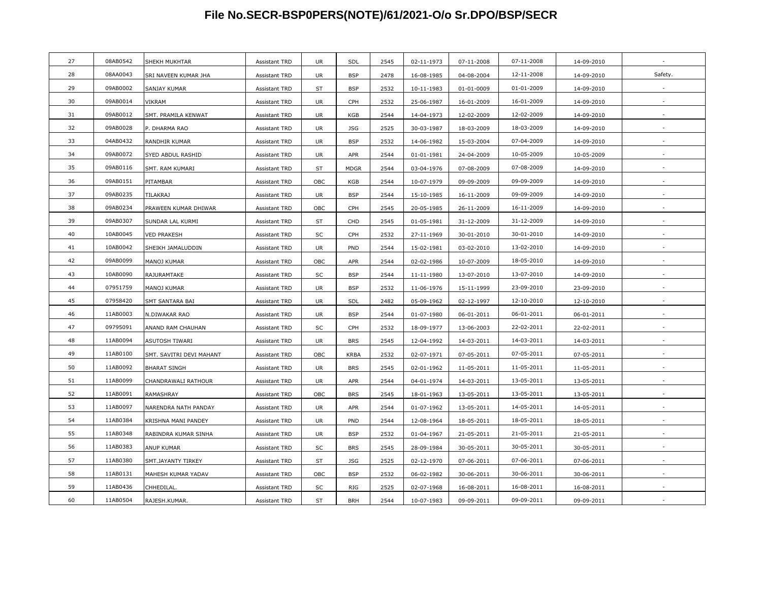| 27 | 08AB0542 | SHEKH MUKHTAR            | Assistant TRD        | UR        | SDL         | 2545 | 02-11-1973 | 07-11-2008 | 07-11-2008 | 14-09-2010 |         |
|----|----------|--------------------------|----------------------|-----------|-------------|------|------------|------------|------------|------------|---------|
| 28 | 08AA0043 | SRI NAVEEN KUMAR JHA     | <b>Assistant TRD</b> | UR        | <b>BSP</b>  | 2478 | 16-08-1985 | 04-08-2004 | 12-11-2008 | 14-09-2010 | Safety. |
| 29 | 09AB0002 | SANJAY KUMAR             | <b>Assistant TRD</b> | ST        | <b>BSP</b>  | 2532 | 10-11-1983 | 01-01-0009 | 01-01-2009 | 14-09-2010 |         |
| 30 | 09AB0014 | <b>VIKRAM</b>            | Assistant TRD        | UR        | CPH         | 2532 | 25-06-1987 | 16-01-2009 | 16-01-2009 | 14-09-2010 |         |
| 31 | 09AB0012 | SMT. PRAMILA KENWAT      | Assistant TRD        | UR        | KGB         | 2544 | 14-04-1973 | 12-02-2009 | 12-02-2009 | 14-09-2010 |         |
| 32 | 09AB0028 | P. DHARMA RAO            | Assistant TRD        | UR        | JSG         | 2525 | 30-03-1987 | 18-03-2009 | 18-03-2009 | 14-09-2010 |         |
| 33 | 04AB0432 | RANDHIR KUMAR            | <b>Assistant TRD</b> | UR        | <b>BSP</b>  | 2532 | 14-06-1982 | 15-03-2004 | 07-04-2009 | 14-09-2010 |         |
| 34 | 09AB0072 | SYED ABDUL RASHID        | <b>Assistant TRD</b> | UR        | APR         | 2544 | 01-01-1981 | 24-04-2009 | 10-05-2009 | 10-05-2009 |         |
| 35 | 09AB0116 | SMT. RAM KUMARI          | Assistant TRD        | ST        | <b>MDGR</b> | 2544 | 03-04-1976 | 07-08-2009 | 07-08-2009 | 14-09-2010 |         |
| 36 | 09AB0151 | PITAMBAR                 | Assistant TRD        | OBC       | KGB         | 2544 | 10-07-1979 | 09-09-2009 | 09-09-2009 | 14-09-2010 |         |
| 37 | 09AB0235 | <b>TILAKRAJ</b>          | <b>Assistant TRD</b> | UR        | <b>BSP</b>  | 2544 | 15-10-1985 | 16-11-2009 | 09-09-2009 | 14-09-2010 |         |
| 38 | 09AB0234 | PRAWEEN KUMAR DHIWAR     | Assistant TRD        | OBC       | CPH         | 2545 | 20-05-1985 | 26-11-2009 | 16-11-2009 | 14-09-2010 |         |
| 39 | 09AB0307 | SUNDAR LAL KURMI         | <b>Assistant TRD</b> | ST        | CHD         | 2545 | 01-05-1981 | 31-12-2009 | 31-12-2009 | 14-09-2010 |         |
| 40 | 10AB0045 | <b>VED PRAKESH</b>       | <b>Assistant TRD</b> | SC        | CPH         | 2532 | 27-11-1969 | 30-01-2010 | 30-01-2010 | 14-09-2010 |         |
| 41 | 10AB0042 | SHEIKH JAMALUDDIN        | <b>Assistant TRD</b> | <b>UR</b> | PND         | 2544 | 15-02-1981 | 03-02-2010 | 13-02-2010 | 14-09-2010 |         |
| 42 | 09AB0099 | MANOJ KUMAR              | Assistant TRD        | OBC       | APR         | 2544 | 02-02-1986 | 10-07-2009 | 18-05-2010 | 14-09-2010 |         |
| 43 | 10AB0090 | RAJURAMTAKE              | Assistant TRD        | SC        | <b>BSP</b>  | 2544 | 11-11-1980 | 13-07-2010 | 13-07-2010 | 14-09-2010 |         |
| 44 | 07951759 | MANOJ KUMAR              | <b>Assistant TRD</b> | UR        | <b>BSP</b>  | 2532 | 11-06-1976 | 15-11-1999 | 23-09-2010 | 23-09-2010 |         |
| 45 | 07958420 | SMT SANTARA BAI          | Assistant TRD        | UR        | SDL         | 2482 | 05-09-1962 | 02-12-1997 | 12-10-2010 | 12-10-2010 |         |
| 46 | 11AB0003 | N.DIWAKAR RAO            | Assistant TRD        | <b>UR</b> | <b>BSP</b>  | 2544 | 01-07-1980 | 06-01-2011 | 06-01-2011 | 06-01-2011 |         |
| 47 | 09795091 | ANAND RAM CHAUHAN        | Assistant TRD        | SC        | CPH         | 2532 | 18-09-1977 | 13-06-2003 | 22-02-2011 | 22-02-2011 |         |
| 48 | 11AB0094 | ASUTOSH TIWARI           | <b>Assistant TRD</b> | UR        | <b>BRS</b>  | 2545 | 12-04-1992 | 14-03-2011 | 14-03-2011 | 14-03-2011 |         |
| 49 | 11AB0100 | SMT. SAVITRI DEVI MAHANT | Assistant TRD        | OBC       | <b>KRBA</b> | 2532 | 02-07-1971 | 07-05-2011 | 07-05-2011 | 07-05-2011 |         |
| 50 | 11AB0092 | <b>BHARAT SINGH</b>      | <b>Assistant TRD</b> | UR        | <b>BRS</b>  | 2545 | 02-01-1962 | 11-05-2011 | 11-05-2011 | 11-05-2011 |         |
| 51 | 11AB0099 | CHANDRAWALI RATHOUR      | Assistant TRD        | UR        | APR         | 2544 | 04-01-1974 | 14-03-2011 | 13-05-2011 | 13-05-2011 |         |
| 52 | 11AB0091 | RAMASHRAY                | Assistant TRD        | OBC       | <b>BRS</b>  | 2545 | 18-01-1963 | 13-05-2011 | 13-05-2011 | 13-05-2011 |         |
| 53 | 11AB0097 | NARENDRA NATH PANDAY     | Assistant TRD        | <b>UR</b> | APR         | 2544 | 01-07-1962 | 13-05-2011 | 14-05-2011 | 14-05-2011 |         |
| 54 | 11AB0384 | KRISHNA MANI PANDEY      | Assistant TRD        | <b>UR</b> | PND         | 2544 | 12-08-1964 | 18-05-2011 | 18-05-2011 | 18-05-2011 |         |
| 55 | 11AB0348 | RABINDRA KUMAR SINHA     | <b>Assistant TRD</b> | <b>UR</b> | <b>BSP</b>  | 2532 | 01-04-1967 | 21-05-2011 | 21-05-2011 | 21-05-2011 |         |
| 56 | 11AB0383 | <b>ANUP KUMAR</b>        | Assistant TRD        | SC        | <b>BRS</b>  | 2545 | 28-09-1984 | 30-05-2011 | 30-05-2011 | 30-05-2011 |         |
| 57 | 11AB0380 | SMT.JAYANTY TIRKEY       | Assistant TRD        | <b>ST</b> | <b>JSG</b>  | 2525 | 02-12-1970 | 07-06-2011 | 07-06-2011 | 07-06-2011 |         |
| 58 | 11AB0131 | MAHESH KUMAR YADAV       | <b>Assistant TRD</b> | OBC       | <b>BSP</b>  | 2532 | 06-02-1982 | 30-06-2011 | 30-06-2011 | 30-06-2011 |         |
| 59 | 11AB0436 | CHHEDILAL.               | Assistant TRD        | SC        | RIG         | 2525 | 02-07-1968 | 16-08-2011 | 16-08-2011 | 16-08-2011 |         |
| 60 | 11AB0504 | RAJESH.KUMAR.            | Assistant TRD        | ST        | <b>BRH</b>  | 2544 | 10-07-1983 | 09-09-2011 | 09-09-2011 | 09-09-2011 |         |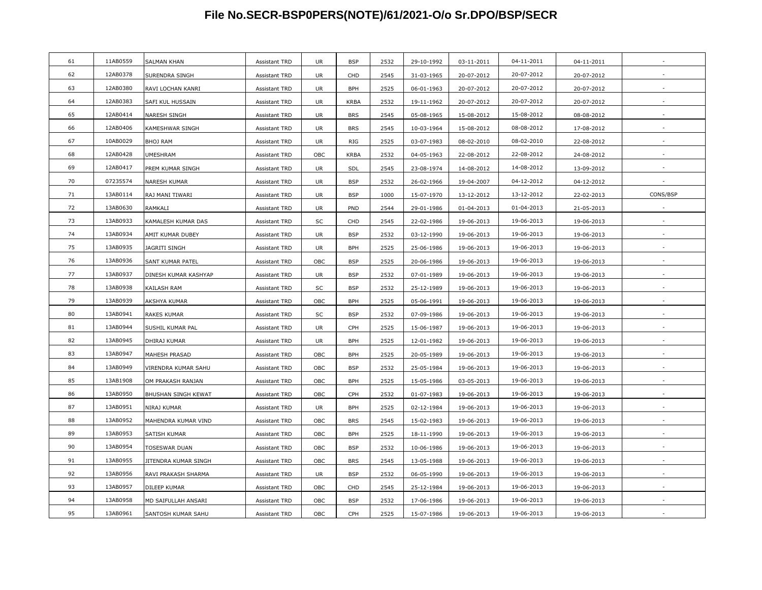| 04-11-2011<br>11AB0559<br>61<br>SALMAN KHAN<br>Assistant TRD<br>UR<br><b>BSP</b><br>2532<br>29-10-1992<br>03-11-2011<br>04-11-2011<br>12AB0378<br>62<br>20-07-2012<br>2545<br>SURENDRA SINGH<br><b>Assistant TRD</b><br>UR<br>CHD<br>31-03-1965<br>20-07-2012<br>20-07-2012<br>12AB0380<br>63<br>20-07-2012<br><b>BPH</b><br>2525<br>RAVI LOCHAN KANRI<br>UR<br>06-01-1963<br>20-07-2012<br>20-07-2012<br>Assistant TRD<br>64<br>12AB0383<br>20-07-2012<br><b>KRBA</b><br>SAFI KUL HUSSAIN<br>Assistant TRD<br>UR<br>2532<br>19-11-1962<br>20-07-2012<br>20-07-2012<br>65<br>12AB0414<br>15-08-2012<br><b>UR</b><br><b>BRS</b><br>2545<br>NARESH SINGH<br>Assistant TRD<br>05-08-1965<br>15-08-2012<br>08-08-2012<br>66<br>12AB0406<br><b>BRS</b><br>08-08-2012<br>KAMESHWAR SINGH<br>Assistant TRD<br>UR<br>2545<br>10-03-1964<br>15-08-2012<br>17-08-2012<br>67<br>10AB0029<br>08-02-2010<br><b>BHOJ RAM</b><br><b>UR</b><br>RIG<br>2525<br>03-07-1983<br>08-02-2010<br>22-08-2012<br><b>Assistant TRD</b><br>68<br>12AB0428<br>22-08-2012<br>OBC<br><b>KRBA</b><br>2532<br>04-05-1963<br>22-08-2012<br>24-08-2012<br><b>UMESHRAM</b><br><b>Assistant TRD</b><br>12AB0417<br>69<br>14-08-2012<br>PREM KUMAR SINGH<br>Assistant TRD<br>UR<br>SDL<br>2545<br>23-08-1974<br>14-08-2012<br>13-09-2012<br>$\overline{a}$<br>70<br>07235574<br>04-12-2012<br><b>UR</b><br><b>BSP</b><br>2532<br>19-04-2007<br>NARESH KUMAR<br><b>Assistant TRD</b><br>26-02-1966<br>04-12-2012<br>13AB0114<br>CONS/BSP<br>71<br>UR<br><b>BSP</b><br>1000<br>15-07-1970<br>13-12-2012<br>13-12-2012<br>22-02-2013<br>RAJ MANI TIWARI<br><b>Assistant TRD</b><br>72<br>13AB0630<br>PND<br>2544<br>01-04-2013<br><b>UR</b><br>29-01-1986<br>01-04-2013<br>21-05-2013<br>RAMKALI<br>Assistant TRD<br>73<br>13AB0933<br>19-06-2013<br>KAMALESH KUMAR DAS<br>SC<br>CHD<br>2545<br>22-02-1986<br>19-06-2013<br>19-06-2013<br>Assistant TRD<br>74<br>13AB0934<br>19-06-2013<br><b>UR</b><br><b>BSP</b><br>2532<br>AMIT KUMAR DUBEY<br>Assistant TRD<br>03-12-1990<br>19-06-2013<br>19-06-2013<br>75<br>13AB0935<br>19-06-2013<br>JAGRITI SINGH<br><b>Assistant TRD</b><br>UR<br><b>BPH</b><br>2525<br>25-06-1986<br>19-06-2013<br>19-06-2013<br>76<br>13AB0936<br>OBC<br><b>BSP</b><br>2525<br>19-06-2013<br>19-06-2013<br>19-06-2013<br>SANT KUMAR PATEL<br>Assistant TRD<br>20-06-1986<br>13AB0937<br>19-06-2013<br>77<br><b>BSP</b><br>2532<br>DINESH KUMAR KASHYAP<br>Assistant TRD<br>UR<br>07-01-1989<br>19-06-2013<br>19-06-2013<br>13AB0938<br>78<br>19-06-2013<br><b>BSP</b><br>2532<br>KAILASH RAM<br>Assistant TRD<br>SC<br>25-12-1989<br>19-06-2013<br>19-06-2013<br>79<br>13AB0939<br>19-06-2013<br>OBC<br><b>BPH</b><br>2525<br>AKSHYA KUMAR<br>05-06-1991<br>19-06-2013<br>19-06-2013<br>Assistant TRD<br>80<br>13AB0941<br>19-06-2013<br><b>BSP</b><br>2532<br><b>RAKES KUMAR</b><br>Assistant TRD<br>SC<br>07-09-1986<br>19-06-2013<br>19-06-2013<br>13AB0944<br>81<br><b>UR</b><br>CPH<br>2525<br>15-06-1987<br>19-06-2013<br>SUSHIL KUMAR PAL<br><b>Assistant TRD</b><br>19-06-2013<br>19-06-2013<br>82<br>13AB0945<br>19-06-2013<br>DHIRAJ KUMAR<br><b>Assistant TRD</b><br>UR<br><b>BPH</b><br>2525<br>12-01-1982<br>19-06-2013<br>19-06-2013<br>83<br>13AB0947<br>19-06-2013<br>OBC<br><b>BPH</b><br>2525<br>20-05-1989<br>MAHESH PRASAD<br><b>Assistant TRD</b><br>19-06-2013<br>19-06-2013<br>84<br>13AB0949<br>19-06-2013<br>OBC<br><b>BSP</b><br>2532<br>19-06-2013<br>VIRENDRA KUMAR SAHU<br>Assistant TRD<br>25-05-1984<br>19-06-2013<br>85<br>13AB1908<br>19-06-2013<br>OM PRAKASH RANJAN<br>Assistant TRD<br>OBC<br><b>BPH</b><br>2525<br>15-05-1986<br>03-05-2013<br>19-06-2013<br>86<br>13AB0950<br>2532<br>19-06-2013<br>OBC<br>CPH<br>01-07-1983<br>19-06-2013<br>19-06-2013<br>BHUSHAN SINGH KEWAT<br>Assistant TRD<br>87<br>13AB0951<br>19-06-2013<br>NIRAJ KUMAR<br>UR<br><b>BPH</b><br>2525<br>02-12-1984<br>19-06-2013<br>19-06-2013<br>Assistant TRD<br>88<br>13AB0952<br>OBC<br><b>BRS</b><br>2545<br>19-06-2013<br>MAHENDRA KUMAR VIND<br>15-02-1983<br>19-06-2013<br>19-06-2013<br>Assistant TRD<br>89<br>13AB0953<br>19-06-2013<br>SATISH KUMAR<br>OBC<br><b>BPH</b><br>2525<br>18-11-1990<br>19-06-2013<br>19-06-2013<br><b>Assistant TRD</b><br>90<br>13AB0954<br>19-06-2013<br>OBC<br><b>BSP</b><br>2532<br>TOSESWAR DUAN<br>Assistant TRD<br>10-06-1986<br>19-06-2013<br>19-06-2013<br>91<br>13AB0955<br>19-06-2013<br>JITENDRA KUMAR SINGH<br>Assistant TRD<br>OBC<br><b>BRS</b><br>2545<br>13-05-1988<br>19-06-2013<br>19-06-2013<br>92<br>13AB0956<br><b>BSP</b><br>19-06-2013<br>RAVI PRAKASH SHARMA<br>Assistant TRD<br>UR<br>2532<br>06-05-1990<br>19-06-2013<br>19-06-2013<br>93<br>13AB0957<br>OBC<br>CHD<br>2545<br>19-06-2013<br>DILEEP KUMAR<br>Assistant TRD<br>25-12-1984<br>19-06-2013<br>19-06-2013<br>13AB0958<br>94<br>19-06-2013<br>MD SAIFULLAH ANSARI<br>OBC<br><b>BSP</b><br>2532<br>17-06-1986<br>19-06-2013<br>19-06-2013<br><b>Assistant TRD</b><br>95<br>13AB0961<br>19-06-2013<br>SANTOSH KUMAR SAHU<br>Assistant TRD<br>OBC<br>CPH<br>2525<br>15-07-1986<br>19-06-2013<br>19-06-2013 |  |  |  |  |  |  |
|-------------------------------------------------------------------------------------------------------------------------------------------------------------------------------------------------------------------------------------------------------------------------------------------------------------------------------------------------------------------------------------------------------------------------------------------------------------------------------------------------------------------------------------------------------------------------------------------------------------------------------------------------------------------------------------------------------------------------------------------------------------------------------------------------------------------------------------------------------------------------------------------------------------------------------------------------------------------------------------------------------------------------------------------------------------------------------------------------------------------------------------------------------------------------------------------------------------------------------------------------------------------------------------------------------------------------------------------------------------------------------------------------------------------------------------------------------------------------------------------------------------------------------------------------------------------------------------------------------------------------------------------------------------------------------------------------------------------------------------------------------------------------------------------------------------------------------------------------------------------------------------------------------------------------------------------------------------------------------------------------------------------------------------------------------------------------------------------------------------------------------------------------------------------------------------------------------------------------------------------------------------------------------------------------------------------------------------------------------------------------------------------------------------------------------------------------------------------------------------------------------------------------------------------------------------------------------------------------------------------------------------------------------------------------------------------------------------------------------------------------------------------------------------------------------------------------------------------------------------------------------------------------------------------------------------------------------------------------------------------------------------------------------------------------------------------------------------------------------------------------------------------------------------------------------------------------------------------------------------------------------------------------------------------------------------------------------------------------------------------------------------------------------------------------------------------------------------------------------------------------------------------------------------------------------------------------------------------------------------------------------------------------------------------------------------------------------------------------------------------------------------------------------------------------------------------------------------------------------------------------------------------------------------------------------------------------------------------------------------------------------------------------------------------------------------------------------------------------------------------------------------------------------------------------------------------------------------------------------------------------------------------------------------------------------------------------------------------------------------------------------------------------------------------------------------------------------------------------------------------------------------------------------------------------------------------------------------------------------------------------------------------------------------------------------------------------------------------------------------------------------------------------------------------------------------------------------------------------------------------------------------------------------------------------------------------------------------------------------------------------------------------------------------------------------------------------------------------------------------------------------------|--|--|--|--|--|--|
|                                                                                                                                                                                                                                                                                                                                                                                                                                                                                                                                                                                                                                                                                                                                                                                                                                                                                                                                                                                                                                                                                                                                                                                                                                                                                                                                                                                                                                                                                                                                                                                                                                                                                                                                                                                                                                                                                                                                                                                                                                                                                                                                                                                                                                                                                                                                                                                                                                                                                                                                                                                                                                                                                                                                                                                                                                                                                                                                                                                                                                                                                                                                                                                                                                                                                                                                                                                                                                                                                                                                                                                                                                                                                                                                                                                                                                                                                                                                                                                                                                                                                                                                                                                                                                                                                                                                                                                                                                                                                                                                                                                                                                                                                                                                                                                                                                                                                                                                                                                                                                                                                                                                     |  |  |  |  |  |  |
|                                                                                                                                                                                                                                                                                                                                                                                                                                                                                                                                                                                                                                                                                                                                                                                                                                                                                                                                                                                                                                                                                                                                                                                                                                                                                                                                                                                                                                                                                                                                                                                                                                                                                                                                                                                                                                                                                                                                                                                                                                                                                                                                                                                                                                                                                                                                                                                                                                                                                                                                                                                                                                                                                                                                                                                                                                                                                                                                                                                                                                                                                                                                                                                                                                                                                                                                                                                                                                                                                                                                                                                                                                                                                                                                                                                                                                                                                                                                                                                                                                                                                                                                                                                                                                                                                                                                                                                                                                                                                                                                                                                                                                                                                                                                                                                                                                                                                                                                                                                                                                                                                                                                     |  |  |  |  |  |  |
|                                                                                                                                                                                                                                                                                                                                                                                                                                                                                                                                                                                                                                                                                                                                                                                                                                                                                                                                                                                                                                                                                                                                                                                                                                                                                                                                                                                                                                                                                                                                                                                                                                                                                                                                                                                                                                                                                                                                                                                                                                                                                                                                                                                                                                                                                                                                                                                                                                                                                                                                                                                                                                                                                                                                                                                                                                                                                                                                                                                                                                                                                                                                                                                                                                                                                                                                                                                                                                                                                                                                                                                                                                                                                                                                                                                                                                                                                                                                                                                                                                                                                                                                                                                                                                                                                                                                                                                                                                                                                                                                                                                                                                                                                                                                                                                                                                                                                                                                                                                                                                                                                                                                     |  |  |  |  |  |  |
|                                                                                                                                                                                                                                                                                                                                                                                                                                                                                                                                                                                                                                                                                                                                                                                                                                                                                                                                                                                                                                                                                                                                                                                                                                                                                                                                                                                                                                                                                                                                                                                                                                                                                                                                                                                                                                                                                                                                                                                                                                                                                                                                                                                                                                                                                                                                                                                                                                                                                                                                                                                                                                                                                                                                                                                                                                                                                                                                                                                                                                                                                                                                                                                                                                                                                                                                                                                                                                                                                                                                                                                                                                                                                                                                                                                                                                                                                                                                                                                                                                                                                                                                                                                                                                                                                                                                                                                                                                                                                                                                                                                                                                                                                                                                                                                                                                                                                                                                                                                                                                                                                                                                     |  |  |  |  |  |  |
|                                                                                                                                                                                                                                                                                                                                                                                                                                                                                                                                                                                                                                                                                                                                                                                                                                                                                                                                                                                                                                                                                                                                                                                                                                                                                                                                                                                                                                                                                                                                                                                                                                                                                                                                                                                                                                                                                                                                                                                                                                                                                                                                                                                                                                                                                                                                                                                                                                                                                                                                                                                                                                                                                                                                                                                                                                                                                                                                                                                                                                                                                                                                                                                                                                                                                                                                                                                                                                                                                                                                                                                                                                                                                                                                                                                                                                                                                                                                                                                                                                                                                                                                                                                                                                                                                                                                                                                                                                                                                                                                                                                                                                                                                                                                                                                                                                                                                                                                                                                                                                                                                                                                     |  |  |  |  |  |  |
|                                                                                                                                                                                                                                                                                                                                                                                                                                                                                                                                                                                                                                                                                                                                                                                                                                                                                                                                                                                                                                                                                                                                                                                                                                                                                                                                                                                                                                                                                                                                                                                                                                                                                                                                                                                                                                                                                                                                                                                                                                                                                                                                                                                                                                                                                                                                                                                                                                                                                                                                                                                                                                                                                                                                                                                                                                                                                                                                                                                                                                                                                                                                                                                                                                                                                                                                                                                                                                                                                                                                                                                                                                                                                                                                                                                                                                                                                                                                                                                                                                                                                                                                                                                                                                                                                                                                                                                                                                                                                                                                                                                                                                                                                                                                                                                                                                                                                                                                                                                                                                                                                                                                     |  |  |  |  |  |  |
|                                                                                                                                                                                                                                                                                                                                                                                                                                                                                                                                                                                                                                                                                                                                                                                                                                                                                                                                                                                                                                                                                                                                                                                                                                                                                                                                                                                                                                                                                                                                                                                                                                                                                                                                                                                                                                                                                                                                                                                                                                                                                                                                                                                                                                                                                                                                                                                                                                                                                                                                                                                                                                                                                                                                                                                                                                                                                                                                                                                                                                                                                                                                                                                                                                                                                                                                                                                                                                                                                                                                                                                                                                                                                                                                                                                                                                                                                                                                                                                                                                                                                                                                                                                                                                                                                                                                                                                                                                                                                                                                                                                                                                                                                                                                                                                                                                                                                                                                                                                                                                                                                                                                     |  |  |  |  |  |  |
|                                                                                                                                                                                                                                                                                                                                                                                                                                                                                                                                                                                                                                                                                                                                                                                                                                                                                                                                                                                                                                                                                                                                                                                                                                                                                                                                                                                                                                                                                                                                                                                                                                                                                                                                                                                                                                                                                                                                                                                                                                                                                                                                                                                                                                                                                                                                                                                                                                                                                                                                                                                                                                                                                                                                                                                                                                                                                                                                                                                                                                                                                                                                                                                                                                                                                                                                                                                                                                                                                                                                                                                                                                                                                                                                                                                                                                                                                                                                                                                                                                                                                                                                                                                                                                                                                                                                                                                                                                                                                                                                                                                                                                                                                                                                                                                                                                                                                                                                                                                                                                                                                                                                     |  |  |  |  |  |  |
|                                                                                                                                                                                                                                                                                                                                                                                                                                                                                                                                                                                                                                                                                                                                                                                                                                                                                                                                                                                                                                                                                                                                                                                                                                                                                                                                                                                                                                                                                                                                                                                                                                                                                                                                                                                                                                                                                                                                                                                                                                                                                                                                                                                                                                                                                                                                                                                                                                                                                                                                                                                                                                                                                                                                                                                                                                                                                                                                                                                                                                                                                                                                                                                                                                                                                                                                                                                                                                                                                                                                                                                                                                                                                                                                                                                                                                                                                                                                                                                                                                                                                                                                                                                                                                                                                                                                                                                                                                                                                                                                                                                                                                                                                                                                                                                                                                                                                                                                                                                                                                                                                                                                     |  |  |  |  |  |  |
|                                                                                                                                                                                                                                                                                                                                                                                                                                                                                                                                                                                                                                                                                                                                                                                                                                                                                                                                                                                                                                                                                                                                                                                                                                                                                                                                                                                                                                                                                                                                                                                                                                                                                                                                                                                                                                                                                                                                                                                                                                                                                                                                                                                                                                                                                                                                                                                                                                                                                                                                                                                                                                                                                                                                                                                                                                                                                                                                                                                                                                                                                                                                                                                                                                                                                                                                                                                                                                                                                                                                                                                                                                                                                                                                                                                                                                                                                                                                                                                                                                                                                                                                                                                                                                                                                                                                                                                                                                                                                                                                                                                                                                                                                                                                                                                                                                                                                                                                                                                                                                                                                                                                     |  |  |  |  |  |  |
|                                                                                                                                                                                                                                                                                                                                                                                                                                                                                                                                                                                                                                                                                                                                                                                                                                                                                                                                                                                                                                                                                                                                                                                                                                                                                                                                                                                                                                                                                                                                                                                                                                                                                                                                                                                                                                                                                                                                                                                                                                                                                                                                                                                                                                                                                                                                                                                                                                                                                                                                                                                                                                                                                                                                                                                                                                                                                                                                                                                                                                                                                                                                                                                                                                                                                                                                                                                                                                                                                                                                                                                                                                                                                                                                                                                                                                                                                                                                                                                                                                                                                                                                                                                                                                                                                                                                                                                                                                                                                                                                                                                                                                                                                                                                                                                                                                                                                                                                                                                                                                                                                                                                     |  |  |  |  |  |  |
|                                                                                                                                                                                                                                                                                                                                                                                                                                                                                                                                                                                                                                                                                                                                                                                                                                                                                                                                                                                                                                                                                                                                                                                                                                                                                                                                                                                                                                                                                                                                                                                                                                                                                                                                                                                                                                                                                                                                                                                                                                                                                                                                                                                                                                                                                                                                                                                                                                                                                                                                                                                                                                                                                                                                                                                                                                                                                                                                                                                                                                                                                                                                                                                                                                                                                                                                                                                                                                                                                                                                                                                                                                                                                                                                                                                                                                                                                                                                                                                                                                                                                                                                                                                                                                                                                                                                                                                                                                                                                                                                                                                                                                                                                                                                                                                                                                                                                                                                                                                                                                                                                                                                     |  |  |  |  |  |  |
|                                                                                                                                                                                                                                                                                                                                                                                                                                                                                                                                                                                                                                                                                                                                                                                                                                                                                                                                                                                                                                                                                                                                                                                                                                                                                                                                                                                                                                                                                                                                                                                                                                                                                                                                                                                                                                                                                                                                                                                                                                                                                                                                                                                                                                                                                                                                                                                                                                                                                                                                                                                                                                                                                                                                                                                                                                                                                                                                                                                                                                                                                                                                                                                                                                                                                                                                                                                                                                                                                                                                                                                                                                                                                                                                                                                                                                                                                                                                                                                                                                                                                                                                                                                                                                                                                                                                                                                                                                                                                                                                                                                                                                                                                                                                                                                                                                                                                                                                                                                                                                                                                                                                     |  |  |  |  |  |  |
|                                                                                                                                                                                                                                                                                                                                                                                                                                                                                                                                                                                                                                                                                                                                                                                                                                                                                                                                                                                                                                                                                                                                                                                                                                                                                                                                                                                                                                                                                                                                                                                                                                                                                                                                                                                                                                                                                                                                                                                                                                                                                                                                                                                                                                                                                                                                                                                                                                                                                                                                                                                                                                                                                                                                                                                                                                                                                                                                                                                                                                                                                                                                                                                                                                                                                                                                                                                                                                                                                                                                                                                                                                                                                                                                                                                                                                                                                                                                                                                                                                                                                                                                                                                                                                                                                                                                                                                                                                                                                                                                                                                                                                                                                                                                                                                                                                                                                                                                                                                                                                                                                                                                     |  |  |  |  |  |  |
|                                                                                                                                                                                                                                                                                                                                                                                                                                                                                                                                                                                                                                                                                                                                                                                                                                                                                                                                                                                                                                                                                                                                                                                                                                                                                                                                                                                                                                                                                                                                                                                                                                                                                                                                                                                                                                                                                                                                                                                                                                                                                                                                                                                                                                                                                                                                                                                                                                                                                                                                                                                                                                                                                                                                                                                                                                                                                                                                                                                                                                                                                                                                                                                                                                                                                                                                                                                                                                                                                                                                                                                                                                                                                                                                                                                                                                                                                                                                                                                                                                                                                                                                                                                                                                                                                                                                                                                                                                                                                                                                                                                                                                                                                                                                                                                                                                                                                                                                                                                                                                                                                                                                     |  |  |  |  |  |  |
|                                                                                                                                                                                                                                                                                                                                                                                                                                                                                                                                                                                                                                                                                                                                                                                                                                                                                                                                                                                                                                                                                                                                                                                                                                                                                                                                                                                                                                                                                                                                                                                                                                                                                                                                                                                                                                                                                                                                                                                                                                                                                                                                                                                                                                                                                                                                                                                                                                                                                                                                                                                                                                                                                                                                                                                                                                                                                                                                                                                                                                                                                                                                                                                                                                                                                                                                                                                                                                                                                                                                                                                                                                                                                                                                                                                                                                                                                                                                                                                                                                                                                                                                                                                                                                                                                                                                                                                                                                                                                                                                                                                                                                                                                                                                                                                                                                                                                                                                                                                                                                                                                                                                     |  |  |  |  |  |  |
|                                                                                                                                                                                                                                                                                                                                                                                                                                                                                                                                                                                                                                                                                                                                                                                                                                                                                                                                                                                                                                                                                                                                                                                                                                                                                                                                                                                                                                                                                                                                                                                                                                                                                                                                                                                                                                                                                                                                                                                                                                                                                                                                                                                                                                                                                                                                                                                                                                                                                                                                                                                                                                                                                                                                                                                                                                                                                                                                                                                                                                                                                                                                                                                                                                                                                                                                                                                                                                                                                                                                                                                                                                                                                                                                                                                                                                                                                                                                                                                                                                                                                                                                                                                                                                                                                                                                                                                                                                                                                                                                                                                                                                                                                                                                                                                                                                                                                                                                                                                                                                                                                                                                     |  |  |  |  |  |  |
|                                                                                                                                                                                                                                                                                                                                                                                                                                                                                                                                                                                                                                                                                                                                                                                                                                                                                                                                                                                                                                                                                                                                                                                                                                                                                                                                                                                                                                                                                                                                                                                                                                                                                                                                                                                                                                                                                                                                                                                                                                                                                                                                                                                                                                                                                                                                                                                                                                                                                                                                                                                                                                                                                                                                                                                                                                                                                                                                                                                                                                                                                                                                                                                                                                                                                                                                                                                                                                                                                                                                                                                                                                                                                                                                                                                                                                                                                                                                                                                                                                                                                                                                                                                                                                                                                                                                                                                                                                                                                                                                                                                                                                                                                                                                                                                                                                                                                                                                                                                                                                                                                                                                     |  |  |  |  |  |  |
|                                                                                                                                                                                                                                                                                                                                                                                                                                                                                                                                                                                                                                                                                                                                                                                                                                                                                                                                                                                                                                                                                                                                                                                                                                                                                                                                                                                                                                                                                                                                                                                                                                                                                                                                                                                                                                                                                                                                                                                                                                                                                                                                                                                                                                                                                                                                                                                                                                                                                                                                                                                                                                                                                                                                                                                                                                                                                                                                                                                                                                                                                                                                                                                                                                                                                                                                                                                                                                                                                                                                                                                                                                                                                                                                                                                                                                                                                                                                                                                                                                                                                                                                                                                                                                                                                                                                                                                                                                                                                                                                                                                                                                                                                                                                                                                                                                                                                                                                                                                                                                                                                                                                     |  |  |  |  |  |  |
|                                                                                                                                                                                                                                                                                                                                                                                                                                                                                                                                                                                                                                                                                                                                                                                                                                                                                                                                                                                                                                                                                                                                                                                                                                                                                                                                                                                                                                                                                                                                                                                                                                                                                                                                                                                                                                                                                                                                                                                                                                                                                                                                                                                                                                                                                                                                                                                                                                                                                                                                                                                                                                                                                                                                                                                                                                                                                                                                                                                                                                                                                                                                                                                                                                                                                                                                                                                                                                                                                                                                                                                                                                                                                                                                                                                                                                                                                                                                                                                                                                                                                                                                                                                                                                                                                                                                                                                                                                                                                                                                                                                                                                                                                                                                                                                                                                                                                                                                                                                                                                                                                                                                     |  |  |  |  |  |  |
|                                                                                                                                                                                                                                                                                                                                                                                                                                                                                                                                                                                                                                                                                                                                                                                                                                                                                                                                                                                                                                                                                                                                                                                                                                                                                                                                                                                                                                                                                                                                                                                                                                                                                                                                                                                                                                                                                                                                                                                                                                                                                                                                                                                                                                                                                                                                                                                                                                                                                                                                                                                                                                                                                                                                                                                                                                                                                                                                                                                                                                                                                                                                                                                                                                                                                                                                                                                                                                                                                                                                                                                                                                                                                                                                                                                                                                                                                                                                                                                                                                                                                                                                                                                                                                                                                                                                                                                                                                                                                                                                                                                                                                                                                                                                                                                                                                                                                                                                                                                                                                                                                                                                     |  |  |  |  |  |  |
|                                                                                                                                                                                                                                                                                                                                                                                                                                                                                                                                                                                                                                                                                                                                                                                                                                                                                                                                                                                                                                                                                                                                                                                                                                                                                                                                                                                                                                                                                                                                                                                                                                                                                                                                                                                                                                                                                                                                                                                                                                                                                                                                                                                                                                                                                                                                                                                                                                                                                                                                                                                                                                                                                                                                                                                                                                                                                                                                                                                                                                                                                                                                                                                                                                                                                                                                                                                                                                                                                                                                                                                                                                                                                                                                                                                                                                                                                                                                                                                                                                                                                                                                                                                                                                                                                                                                                                                                                                                                                                                                                                                                                                                                                                                                                                                                                                                                                                                                                                                                                                                                                                                                     |  |  |  |  |  |  |
|                                                                                                                                                                                                                                                                                                                                                                                                                                                                                                                                                                                                                                                                                                                                                                                                                                                                                                                                                                                                                                                                                                                                                                                                                                                                                                                                                                                                                                                                                                                                                                                                                                                                                                                                                                                                                                                                                                                                                                                                                                                                                                                                                                                                                                                                                                                                                                                                                                                                                                                                                                                                                                                                                                                                                                                                                                                                                                                                                                                                                                                                                                                                                                                                                                                                                                                                                                                                                                                                                                                                                                                                                                                                                                                                                                                                                                                                                                                                                                                                                                                                                                                                                                                                                                                                                                                                                                                                                                                                                                                                                                                                                                                                                                                                                                                                                                                                                                                                                                                                                                                                                                                                     |  |  |  |  |  |  |
|                                                                                                                                                                                                                                                                                                                                                                                                                                                                                                                                                                                                                                                                                                                                                                                                                                                                                                                                                                                                                                                                                                                                                                                                                                                                                                                                                                                                                                                                                                                                                                                                                                                                                                                                                                                                                                                                                                                                                                                                                                                                                                                                                                                                                                                                                                                                                                                                                                                                                                                                                                                                                                                                                                                                                                                                                                                                                                                                                                                                                                                                                                                                                                                                                                                                                                                                                                                                                                                                                                                                                                                                                                                                                                                                                                                                                                                                                                                                                                                                                                                                                                                                                                                                                                                                                                                                                                                                                                                                                                                                                                                                                                                                                                                                                                                                                                                                                                                                                                                                                                                                                                                                     |  |  |  |  |  |  |
|                                                                                                                                                                                                                                                                                                                                                                                                                                                                                                                                                                                                                                                                                                                                                                                                                                                                                                                                                                                                                                                                                                                                                                                                                                                                                                                                                                                                                                                                                                                                                                                                                                                                                                                                                                                                                                                                                                                                                                                                                                                                                                                                                                                                                                                                                                                                                                                                                                                                                                                                                                                                                                                                                                                                                                                                                                                                                                                                                                                                                                                                                                                                                                                                                                                                                                                                                                                                                                                                                                                                                                                                                                                                                                                                                                                                                                                                                                                                                                                                                                                                                                                                                                                                                                                                                                                                                                                                                                                                                                                                                                                                                                                                                                                                                                                                                                                                                                                                                                                                                                                                                                                                     |  |  |  |  |  |  |
|                                                                                                                                                                                                                                                                                                                                                                                                                                                                                                                                                                                                                                                                                                                                                                                                                                                                                                                                                                                                                                                                                                                                                                                                                                                                                                                                                                                                                                                                                                                                                                                                                                                                                                                                                                                                                                                                                                                                                                                                                                                                                                                                                                                                                                                                                                                                                                                                                                                                                                                                                                                                                                                                                                                                                                                                                                                                                                                                                                                                                                                                                                                                                                                                                                                                                                                                                                                                                                                                                                                                                                                                                                                                                                                                                                                                                                                                                                                                                                                                                                                                                                                                                                                                                                                                                                                                                                                                                                                                                                                                                                                                                                                                                                                                                                                                                                                                                                                                                                                                                                                                                                                                     |  |  |  |  |  |  |
|                                                                                                                                                                                                                                                                                                                                                                                                                                                                                                                                                                                                                                                                                                                                                                                                                                                                                                                                                                                                                                                                                                                                                                                                                                                                                                                                                                                                                                                                                                                                                                                                                                                                                                                                                                                                                                                                                                                                                                                                                                                                                                                                                                                                                                                                                                                                                                                                                                                                                                                                                                                                                                                                                                                                                                                                                                                                                                                                                                                                                                                                                                                                                                                                                                                                                                                                                                                                                                                                                                                                                                                                                                                                                                                                                                                                                                                                                                                                                                                                                                                                                                                                                                                                                                                                                                                                                                                                                                                                                                                                                                                                                                                                                                                                                                                                                                                                                                                                                                                                                                                                                                                                     |  |  |  |  |  |  |
|                                                                                                                                                                                                                                                                                                                                                                                                                                                                                                                                                                                                                                                                                                                                                                                                                                                                                                                                                                                                                                                                                                                                                                                                                                                                                                                                                                                                                                                                                                                                                                                                                                                                                                                                                                                                                                                                                                                                                                                                                                                                                                                                                                                                                                                                                                                                                                                                                                                                                                                                                                                                                                                                                                                                                                                                                                                                                                                                                                                                                                                                                                                                                                                                                                                                                                                                                                                                                                                                                                                                                                                                                                                                                                                                                                                                                                                                                                                                                                                                                                                                                                                                                                                                                                                                                                                                                                                                                                                                                                                                                                                                                                                                                                                                                                                                                                                                                                                                                                                                                                                                                                                                     |  |  |  |  |  |  |
|                                                                                                                                                                                                                                                                                                                                                                                                                                                                                                                                                                                                                                                                                                                                                                                                                                                                                                                                                                                                                                                                                                                                                                                                                                                                                                                                                                                                                                                                                                                                                                                                                                                                                                                                                                                                                                                                                                                                                                                                                                                                                                                                                                                                                                                                                                                                                                                                                                                                                                                                                                                                                                                                                                                                                                                                                                                                                                                                                                                                                                                                                                                                                                                                                                                                                                                                                                                                                                                                                                                                                                                                                                                                                                                                                                                                                                                                                                                                                                                                                                                                                                                                                                                                                                                                                                                                                                                                                                                                                                                                                                                                                                                                                                                                                                                                                                                                                                                                                                                                                                                                                                                                     |  |  |  |  |  |  |
|                                                                                                                                                                                                                                                                                                                                                                                                                                                                                                                                                                                                                                                                                                                                                                                                                                                                                                                                                                                                                                                                                                                                                                                                                                                                                                                                                                                                                                                                                                                                                                                                                                                                                                                                                                                                                                                                                                                                                                                                                                                                                                                                                                                                                                                                                                                                                                                                                                                                                                                                                                                                                                                                                                                                                                                                                                                                                                                                                                                                                                                                                                                                                                                                                                                                                                                                                                                                                                                                                                                                                                                                                                                                                                                                                                                                                                                                                                                                                                                                                                                                                                                                                                                                                                                                                                                                                                                                                                                                                                                                                                                                                                                                                                                                                                                                                                                                                                                                                                                                                                                                                                                                     |  |  |  |  |  |  |
|                                                                                                                                                                                                                                                                                                                                                                                                                                                                                                                                                                                                                                                                                                                                                                                                                                                                                                                                                                                                                                                                                                                                                                                                                                                                                                                                                                                                                                                                                                                                                                                                                                                                                                                                                                                                                                                                                                                                                                                                                                                                                                                                                                                                                                                                                                                                                                                                                                                                                                                                                                                                                                                                                                                                                                                                                                                                                                                                                                                                                                                                                                                                                                                                                                                                                                                                                                                                                                                                                                                                                                                                                                                                                                                                                                                                                                                                                                                                                                                                                                                                                                                                                                                                                                                                                                                                                                                                                                                                                                                                                                                                                                                                                                                                                                                                                                                                                                                                                                                                                                                                                                                                     |  |  |  |  |  |  |
|                                                                                                                                                                                                                                                                                                                                                                                                                                                                                                                                                                                                                                                                                                                                                                                                                                                                                                                                                                                                                                                                                                                                                                                                                                                                                                                                                                                                                                                                                                                                                                                                                                                                                                                                                                                                                                                                                                                                                                                                                                                                                                                                                                                                                                                                                                                                                                                                                                                                                                                                                                                                                                                                                                                                                                                                                                                                                                                                                                                                                                                                                                                                                                                                                                                                                                                                                                                                                                                                                                                                                                                                                                                                                                                                                                                                                                                                                                                                                                                                                                                                                                                                                                                                                                                                                                                                                                                                                                                                                                                                                                                                                                                                                                                                                                                                                                                                                                                                                                                                                                                                                                                                     |  |  |  |  |  |  |
|                                                                                                                                                                                                                                                                                                                                                                                                                                                                                                                                                                                                                                                                                                                                                                                                                                                                                                                                                                                                                                                                                                                                                                                                                                                                                                                                                                                                                                                                                                                                                                                                                                                                                                                                                                                                                                                                                                                                                                                                                                                                                                                                                                                                                                                                                                                                                                                                                                                                                                                                                                                                                                                                                                                                                                                                                                                                                                                                                                                                                                                                                                                                                                                                                                                                                                                                                                                                                                                                                                                                                                                                                                                                                                                                                                                                                                                                                                                                                                                                                                                                                                                                                                                                                                                                                                                                                                                                                                                                                                                                                                                                                                                                                                                                                                                                                                                                                                                                                                                                                                                                                                                                     |  |  |  |  |  |  |
|                                                                                                                                                                                                                                                                                                                                                                                                                                                                                                                                                                                                                                                                                                                                                                                                                                                                                                                                                                                                                                                                                                                                                                                                                                                                                                                                                                                                                                                                                                                                                                                                                                                                                                                                                                                                                                                                                                                                                                                                                                                                                                                                                                                                                                                                                                                                                                                                                                                                                                                                                                                                                                                                                                                                                                                                                                                                                                                                                                                                                                                                                                                                                                                                                                                                                                                                                                                                                                                                                                                                                                                                                                                                                                                                                                                                                                                                                                                                                                                                                                                                                                                                                                                                                                                                                                                                                                                                                                                                                                                                                                                                                                                                                                                                                                                                                                                                                                                                                                                                                                                                                                                                     |  |  |  |  |  |  |
|                                                                                                                                                                                                                                                                                                                                                                                                                                                                                                                                                                                                                                                                                                                                                                                                                                                                                                                                                                                                                                                                                                                                                                                                                                                                                                                                                                                                                                                                                                                                                                                                                                                                                                                                                                                                                                                                                                                                                                                                                                                                                                                                                                                                                                                                                                                                                                                                                                                                                                                                                                                                                                                                                                                                                                                                                                                                                                                                                                                                                                                                                                                                                                                                                                                                                                                                                                                                                                                                                                                                                                                                                                                                                                                                                                                                                                                                                                                                                                                                                                                                                                                                                                                                                                                                                                                                                                                                                                                                                                                                                                                                                                                                                                                                                                                                                                                                                                                                                                                                                                                                                                                                     |  |  |  |  |  |  |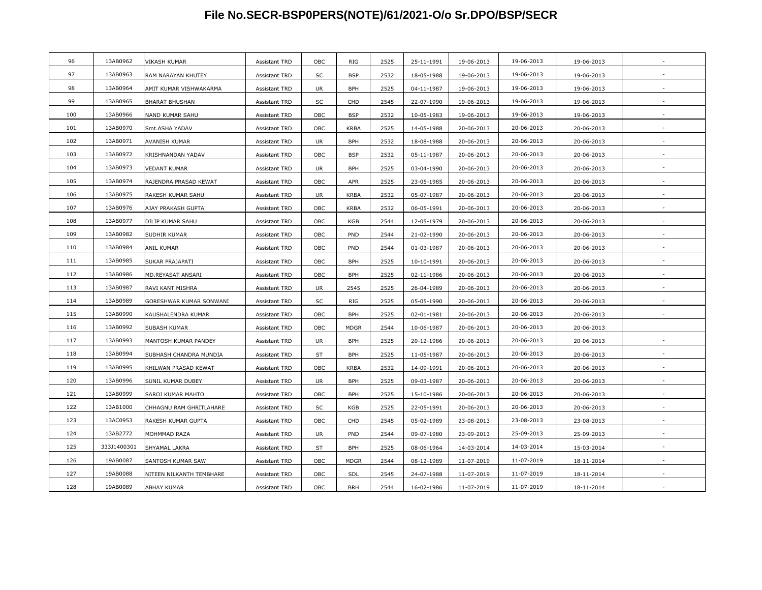| 96<br>13AB0962<br>2525<br>19-06-2013<br>19-06-2013<br>VIKASH KUMAR<br><b>Assistant TRD</b><br>OBC<br>RIG<br>25-11-1991<br>19-06-2013<br>97<br>13AB0963<br>19-06-2013<br>SC<br><b>BSP</b><br>2532<br>RAM NARAYAN KHUTEY<br><b>Assistant TRD</b><br>18-05-1988<br>19-06-2013<br>19-06-2013<br>98<br>13AB0964<br>19-06-2013<br>AMIT KUMAR VISHWAKARMA<br><b>BPH</b><br>2525<br>19-06-2013<br>Assistant TRD<br>UR<br>04-11-1987<br>19-06-2013<br>13AB0965<br>99<br>19-06-2013<br>SC<br>CHD<br>2545<br>22-07-1990<br>19-06-2013<br><b>BHARAT BHUSHAN</b><br><b>Assistant TRD</b><br>19-06-2013<br>100<br>13AB0966<br>19-06-2013<br>OBC<br><b>BSP</b><br>2532<br>NAND KUMAR SAHU<br><b>Assistant TRD</b><br>10-05-1983<br>19-06-2013<br>19-06-2013<br>13AB0970<br>101<br>Smt.ASHA YADAV<br>OBC<br><b>KRBA</b><br>2525<br>14-05-1988<br>20-06-2013<br>20-06-2013<br>20-06-2013<br><b>Assistant TRD</b><br>102<br>13AB0971<br>20-06-2013<br>AVANISH KUMAR<br>Assistant TRD<br>UR<br><b>BPH</b><br>2532<br>18-08-1988<br>20-06-2013<br>20-06-2013<br>13AB0972<br>103<br>20-06-2013<br>KRISHNANDAN YADAV<br>OBC<br><b>BSP</b><br>2532<br>05-11-1987<br>20-06-2013<br>20-06-2013<br><b>Assistant TRD</b><br>104<br>13AB0973<br>20-06-2013<br><b>VEDANT KUMAR</b><br>UR<br><b>BPH</b><br>2525<br>03-04-1990<br>20-06-2013<br>20-06-2013<br><b>Assistant TRD</b><br>13AB0974<br>105<br>20-06-2013<br>RAJENDRA PRASAD KEWAT<br>OBC<br>APR<br>2525<br>23-05-1985<br>20-06-2013<br>20-06-2013<br><b>Assistant TRD</b><br>106<br>13AB0975<br><b>KRBA</b><br>2532<br>20-06-2013<br>RAKESH KUMAR SAHU<br><b>Assistant TRD</b><br>UR<br>05-07-1987<br>20-06-2013<br>20-06-2013<br>107<br>13AB0976<br>20-06-2013<br>OBC<br><b>KRBA</b><br>2532<br>06-05-1991<br>20-06-2013<br>20-06-2013<br>AJAY PRAKASH GUPTA<br><b>Assistant TRD</b><br>108<br>13AB0977<br>20-06-2013<br>OBC<br>KGB<br>2544<br>DILIP KUMAR SAHU<br><b>Assistant TRD</b><br>12-05-1979<br>20-06-2013<br>20-06-2013<br>109<br>13AB0982<br>20-06-2013<br>OBC<br>PND<br>2544<br>SUDHIR KUMAR<br>Assistant TRD<br>21-02-1990<br>20-06-2013<br>20-06-2013<br>110<br>13AB0984<br>20-06-2013<br>OBC<br>PND<br>20-06-2013<br>20-06-2013<br>ANIL KUMAR<br><b>Assistant TRD</b><br>2544<br>01-03-1987<br>111<br>13AB0985<br>20-06-2013<br>OBC<br><b>BPH</b><br>2525<br>20-06-2013<br>20-06-2013<br>SUKAR PRAJAPATI<br><b>Assistant TRD</b><br>10-10-1991<br>112<br>13AB0986<br>OBC<br><b>BPH</b><br>2525<br>20-06-2013<br>02-11-1986<br>20-06-2013<br>20-06-2013<br>MD.REYASAT ANSARI<br><b>Assistant TRD</b><br>113<br>13AB0987<br>20-06-2013<br>2525<br>UR<br>2545<br>26-04-1989<br>20-06-2013<br>RAVI KANT MISHRA<br><b>Assistant TRD</b><br>20-06-2013<br>114<br>13AB0989<br>20-06-2013<br><b>RIG</b><br>GORESHWAR KUMAR SONWANI<br>SC<br>2525<br>05-05-1990<br>20-06-2013<br>20-06-2013<br><b>Assistant TRD</b><br>115<br>13AB0990<br>20-06-2013<br><b>BPH</b><br>2525<br>KAUSHALENDRA KUMAR<br>OBC<br>02-01-1981<br>20-06-2013<br>20-06-2013<br><b>Assistant TRD</b><br>$\overline{\phantom{a}}$<br>116<br>13AB0992<br>OBC<br><b>MDGR</b><br>2544<br>20-06-2013<br>SUBASH KUMAR<br>10-06-1987<br>20-06-2013<br>20-06-2013<br>Assistant TRD<br>117<br>13AB0993<br>20-06-2013<br>MANTOSH KUMAR PANDEY<br>UR<br><b>BPH</b><br>2525<br>20-12-1986<br>20-06-2013<br>20-06-2013<br><b>Assistant TRD</b><br>118<br>13AB0994<br>2525<br>20-06-2013<br>ST<br><b>BPH</b><br>11-05-1987<br>20-06-2013<br>20-06-2013<br>SUBHASH CHANDRA MUNDIA<br>Assistant TRD<br>119<br>13AB0995<br>20-06-2013<br>2532<br>OBC<br><b>KRBA</b><br>14-09-1991<br>20-06-2013<br>20-06-2013<br>KHILWAN PRASAD KEWAT<br>Assistant TRD<br>120<br>13AB0996<br>20-06-2013<br>2525<br><b>UR</b><br><b>BPH</b><br>SUNIL KUMAR DUBEY<br><b>Assistant TRD</b><br>09-03-1987<br>20-06-2013<br>20-06-2013<br>13AB0999<br>121<br>OBC<br><b>BPH</b><br>2525<br>15-10-1986<br>20-06-2013<br>20-06-2013<br>SAROJ KUMAR MAHTO<br><b>Assistant TRD</b><br>20-06-2013<br>122<br>13AB1000<br>SC<br>KGB<br>2525<br>20-06-2013<br>CHHAGNU RAM GHRITLAHARE<br><b>Assistant TRD</b><br>22-05-1991<br>20-06-2013<br>20-06-2013<br>123<br>13AC0953<br>23-08-2013<br>OBC<br>CHD<br>2545<br>05-02-1989<br>23-08-2013<br>23-08-2013<br>RAKESH KUMAR GUPTA<br><b>Assistant TRD</b><br>13AB2772<br>124<br>25-09-2013<br>UR<br>PND<br>2544<br>09-07-1980<br>23-09-2013<br>MOHMMAD RAZA<br>25-09-2013<br>Assistant TRD<br>125<br>333J1400301<br>14-03-2014<br>ST<br><b>BPH</b><br>2525<br>08-06-1964<br>SHYAMAL LAKRA<br><b>Assistant TRD</b><br>14-03-2014<br>15-03-2014<br>126<br>19AB0087<br>11-07-2019<br>OBC<br><b>MDGR</b><br>SANTOSH KUMAR SAW<br>Assistant TRD<br>2544<br>08-12-1989<br>11-07-2019<br>18-11-2014<br>127<br>19AB0088<br>OBC<br>2545<br>24-07-1988<br>11-07-2019<br>NITEEN NILKANTH TEMBHARE<br><b>Assistant TRD</b><br>SDL<br>11-07-2019<br>18-11-2014<br>19AB0089<br>128<br>OBC<br><b>BRH</b><br>2544<br>11-07-2019<br>11-07-2019<br>18-11-2014<br>ABHAY KUMAR<br><b>Assistant TRD</b><br>16-02-1986 |  |  |  |  |  |  |
|--------------------------------------------------------------------------------------------------------------------------------------------------------------------------------------------------------------------------------------------------------------------------------------------------------------------------------------------------------------------------------------------------------------------------------------------------------------------------------------------------------------------------------------------------------------------------------------------------------------------------------------------------------------------------------------------------------------------------------------------------------------------------------------------------------------------------------------------------------------------------------------------------------------------------------------------------------------------------------------------------------------------------------------------------------------------------------------------------------------------------------------------------------------------------------------------------------------------------------------------------------------------------------------------------------------------------------------------------------------------------------------------------------------------------------------------------------------------------------------------------------------------------------------------------------------------------------------------------------------------------------------------------------------------------------------------------------------------------------------------------------------------------------------------------------------------------------------------------------------------------------------------------------------------------------------------------------------------------------------------------------------------------------------------------------------------------------------------------------------------------------------------------------------------------------------------------------------------------------------------------------------------------------------------------------------------------------------------------------------------------------------------------------------------------------------------------------------------------------------------------------------------------------------------------------------------------------------------------------------------------------------------------------------------------------------------------------------------------------------------------------------------------------------------------------------------------------------------------------------------------------------------------------------------------------------------------------------------------------------------------------------------------------------------------------------------------------------------------------------------------------------------------------------------------------------------------------------------------------------------------------------------------------------------------------------------------------------------------------------------------------------------------------------------------------------------------------------------------------------------------------------------------------------------------------------------------------------------------------------------------------------------------------------------------------------------------------------------------------------------------------------------------------------------------------------------------------------------------------------------------------------------------------------------------------------------------------------------------------------------------------------------------------------------------------------------------------------------------------------------------------------------------------------------------------------------------------------------------------------------------------------------------------------------------------------------------------------------------------------------------------------------------------------------------------------------------------------------------------------------------------------------------------------------------------------------------------------------------------------------------------------------------------------------------------------------------------------------------------------------------------------------------------------------------------------------------------------------------------------------------------------------------------------------------------------------------------------------------------------------------------|--|--|--|--|--|--|
|                                                                                                                                                                                                                                                                                                                                                                                                                                                                                                                                                                                                                                                                                                                                                                                                                                                                                                                                                                                                                                                                                                                                                                                                                                                                                                                                                                                                                                                                                                                                                                                                                                                                                                                                                                                                                                                                                                                                                                                                                                                                                                                                                                                                                                                                                                                                                                                                                                                                                                                                                                                                                                                                                                                                                                                                                                                                                                                                                                                                                                                                                                                                                                                                                                                                                                                                                                                                                                                                                                                                                                                                                                                                                                                                                                                                                                                                                                                                                                                                                                                                                                                                                                                                                                                                                                                                                                                                                                                                                                                                                                                                                                                                                                                                                                                                                                                                                                                                                                                                        |  |  |  |  |  |  |
|                                                                                                                                                                                                                                                                                                                                                                                                                                                                                                                                                                                                                                                                                                                                                                                                                                                                                                                                                                                                                                                                                                                                                                                                                                                                                                                                                                                                                                                                                                                                                                                                                                                                                                                                                                                                                                                                                                                                                                                                                                                                                                                                                                                                                                                                                                                                                                                                                                                                                                                                                                                                                                                                                                                                                                                                                                                                                                                                                                                                                                                                                                                                                                                                                                                                                                                                                                                                                                                                                                                                                                                                                                                                                                                                                                                                                                                                                                                                                                                                                                                                                                                                                                                                                                                                                                                                                                                                                                                                                                                                                                                                                                                                                                                                                                                                                                                                                                                                                                                                        |  |  |  |  |  |  |
|                                                                                                                                                                                                                                                                                                                                                                                                                                                                                                                                                                                                                                                                                                                                                                                                                                                                                                                                                                                                                                                                                                                                                                                                                                                                                                                                                                                                                                                                                                                                                                                                                                                                                                                                                                                                                                                                                                                                                                                                                                                                                                                                                                                                                                                                                                                                                                                                                                                                                                                                                                                                                                                                                                                                                                                                                                                                                                                                                                                                                                                                                                                                                                                                                                                                                                                                                                                                                                                                                                                                                                                                                                                                                                                                                                                                                                                                                                                                                                                                                                                                                                                                                                                                                                                                                                                                                                                                                                                                                                                                                                                                                                                                                                                                                                                                                                                                                                                                                                                                        |  |  |  |  |  |  |
|                                                                                                                                                                                                                                                                                                                                                                                                                                                                                                                                                                                                                                                                                                                                                                                                                                                                                                                                                                                                                                                                                                                                                                                                                                                                                                                                                                                                                                                                                                                                                                                                                                                                                                                                                                                                                                                                                                                                                                                                                                                                                                                                                                                                                                                                                                                                                                                                                                                                                                                                                                                                                                                                                                                                                                                                                                                                                                                                                                                                                                                                                                                                                                                                                                                                                                                                                                                                                                                                                                                                                                                                                                                                                                                                                                                                                                                                                                                                                                                                                                                                                                                                                                                                                                                                                                                                                                                                                                                                                                                                                                                                                                                                                                                                                                                                                                                                                                                                                                                                        |  |  |  |  |  |  |
|                                                                                                                                                                                                                                                                                                                                                                                                                                                                                                                                                                                                                                                                                                                                                                                                                                                                                                                                                                                                                                                                                                                                                                                                                                                                                                                                                                                                                                                                                                                                                                                                                                                                                                                                                                                                                                                                                                                                                                                                                                                                                                                                                                                                                                                                                                                                                                                                                                                                                                                                                                                                                                                                                                                                                                                                                                                                                                                                                                                                                                                                                                                                                                                                                                                                                                                                                                                                                                                                                                                                                                                                                                                                                                                                                                                                                                                                                                                                                                                                                                                                                                                                                                                                                                                                                                                                                                                                                                                                                                                                                                                                                                                                                                                                                                                                                                                                                                                                                                                                        |  |  |  |  |  |  |
|                                                                                                                                                                                                                                                                                                                                                                                                                                                                                                                                                                                                                                                                                                                                                                                                                                                                                                                                                                                                                                                                                                                                                                                                                                                                                                                                                                                                                                                                                                                                                                                                                                                                                                                                                                                                                                                                                                                                                                                                                                                                                                                                                                                                                                                                                                                                                                                                                                                                                                                                                                                                                                                                                                                                                                                                                                                                                                                                                                                                                                                                                                                                                                                                                                                                                                                                                                                                                                                                                                                                                                                                                                                                                                                                                                                                                                                                                                                                                                                                                                                                                                                                                                                                                                                                                                                                                                                                                                                                                                                                                                                                                                                                                                                                                                                                                                                                                                                                                                                                        |  |  |  |  |  |  |
|                                                                                                                                                                                                                                                                                                                                                                                                                                                                                                                                                                                                                                                                                                                                                                                                                                                                                                                                                                                                                                                                                                                                                                                                                                                                                                                                                                                                                                                                                                                                                                                                                                                                                                                                                                                                                                                                                                                                                                                                                                                                                                                                                                                                                                                                                                                                                                                                                                                                                                                                                                                                                                                                                                                                                                                                                                                                                                                                                                                                                                                                                                                                                                                                                                                                                                                                                                                                                                                                                                                                                                                                                                                                                                                                                                                                                                                                                                                                                                                                                                                                                                                                                                                                                                                                                                                                                                                                                                                                                                                                                                                                                                                                                                                                                                                                                                                                                                                                                                                                        |  |  |  |  |  |  |
|                                                                                                                                                                                                                                                                                                                                                                                                                                                                                                                                                                                                                                                                                                                                                                                                                                                                                                                                                                                                                                                                                                                                                                                                                                                                                                                                                                                                                                                                                                                                                                                                                                                                                                                                                                                                                                                                                                                                                                                                                                                                                                                                                                                                                                                                                                                                                                                                                                                                                                                                                                                                                                                                                                                                                                                                                                                                                                                                                                                                                                                                                                                                                                                                                                                                                                                                                                                                                                                                                                                                                                                                                                                                                                                                                                                                                                                                                                                                                                                                                                                                                                                                                                                                                                                                                                                                                                                                                                                                                                                                                                                                                                                                                                                                                                                                                                                                                                                                                                                                        |  |  |  |  |  |  |
|                                                                                                                                                                                                                                                                                                                                                                                                                                                                                                                                                                                                                                                                                                                                                                                                                                                                                                                                                                                                                                                                                                                                                                                                                                                                                                                                                                                                                                                                                                                                                                                                                                                                                                                                                                                                                                                                                                                                                                                                                                                                                                                                                                                                                                                                                                                                                                                                                                                                                                                                                                                                                                                                                                                                                                                                                                                                                                                                                                                                                                                                                                                                                                                                                                                                                                                                                                                                                                                                                                                                                                                                                                                                                                                                                                                                                                                                                                                                                                                                                                                                                                                                                                                                                                                                                                                                                                                                                                                                                                                                                                                                                                                                                                                                                                                                                                                                                                                                                                                                        |  |  |  |  |  |  |
|                                                                                                                                                                                                                                                                                                                                                                                                                                                                                                                                                                                                                                                                                                                                                                                                                                                                                                                                                                                                                                                                                                                                                                                                                                                                                                                                                                                                                                                                                                                                                                                                                                                                                                                                                                                                                                                                                                                                                                                                                                                                                                                                                                                                                                                                                                                                                                                                                                                                                                                                                                                                                                                                                                                                                                                                                                                                                                                                                                                                                                                                                                                                                                                                                                                                                                                                                                                                                                                                                                                                                                                                                                                                                                                                                                                                                                                                                                                                                                                                                                                                                                                                                                                                                                                                                                                                                                                                                                                                                                                                                                                                                                                                                                                                                                                                                                                                                                                                                                                                        |  |  |  |  |  |  |
|                                                                                                                                                                                                                                                                                                                                                                                                                                                                                                                                                                                                                                                                                                                                                                                                                                                                                                                                                                                                                                                                                                                                                                                                                                                                                                                                                                                                                                                                                                                                                                                                                                                                                                                                                                                                                                                                                                                                                                                                                                                                                                                                                                                                                                                                                                                                                                                                                                                                                                                                                                                                                                                                                                                                                                                                                                                                                                                                                                                                                                                                                                                                                                                                                                                                                                                                                                                                                                                                                                                                                                                                                                                                                                                                                                                                                                                                                                                                                                                                                                                                                                                                                                                                                                                                                                                                                                                                                                                                                                                                                                                                                                                                                                                                                                                                                                                                                                                                                                                                        |  |  |  |  |  |  |
|                                                                                                                                                                                                                                                                                                                                                                                                                                                                                                                                                                                                                                                                                                                                                                                                                                                                                                                                                                                                                                                                                                                                                                                                                                                                                                                                                                                                                                                                                                                                                                                                                                                                                                                                                                                                                                                                                                                                                                                                                                                                                                                                                                                                                                                                                                                                                                                                                                                                                                                                                                                                                                                                                                                                                                                                                                                                                                                                                                                                                                                                                                                                                                                                                                                                                                                                                                                                                                                                                                                                                                                                                                                                                                                                                                                                                                                                                                                                                                                                                                                                                                                                                                                                                                                                                                                                                                                                                                                                                                                                                                                                                                                                                                                                                                                                                                                                                                                                                                                                        |  |  |  |  |  |  |
|                                                                                                                                                                                                                                                                                                                                                                                                                                                                                                                                                                                                                                                                                                                                                                                                                                                                                                                                                                                                                                                                                                                                                                                                                                                                                                                                                                                                                                                                                                                                                                                                                                                                                                                                                                                                                                                                                                                                                                                                                                                                                                                                                                                                                                                                                                                                                                                                                                                                                                                                                                                                                                                                                                                                                                                                                                                                                                                                                                                                                                                                                                                                                                                                                                                                                                                                                                                                                                                                                                                                                                                                                                                                                                                                                                                                                                                                                                                                                                                                                                                                                                                                                                                                                                                                                                                                                                                                                                                                                                                                                                                                                                                                                                                                                                                                                                                                                                                                                                                                        |  |  |  |  |  |  |
|                                                                                                                                                                                                                                                                                                                                                                                                                                                                                                                                                                                                                                                                                                                                                                                                                                                                                                                                                                                                                                                                                                                                                                                                                                                                                                                                                                                                                                                                                                                                                                                                                                                                                                                                                                                                                                                                                                                                                                                                                                                                                                                                                                                                                                                                                                                                                                                                                                                                                                                                                                                                                                                                                                                                                                                                                                                                                                                                                                                                                                                                                                                                                                                                                                                                                                                                                                                                                                                                                                                                                                                                                                                                                                                                                                                                                                                                                                                                                                                                                                                                                                                                                                                                                                                                                                                                                                                                                                                                                                                                                                                                                                                                                                                                                                                                                                                                                                                                                                                                        |  |  |  |  |  |  |
|                                                                                                                                                                                                                                                                                                                                                                                                                                                                                                                                                                                                                                                                                                                                                                                                                                                                                                                                                                                                                                                                                                                                                                                                                                                                                                                                                                                                                                                                                                                                                                                                                                                                                                                                                                                                                                                                                                                                                                                                                                                                                                                                                                                                                                                                                                                                                                                                                                                                                                                                                                                                                                                                                                                                                                                                                                                                                                                                                                                                                                                                                                                                                                                                                                                                                                                                                                                                                                                                                                                                                                                                                                                                                                                                                                                                                                                                                                                                                                                                                                                                                                                                                                                                                                                                                                                                                                                                                                                                                                                                                                                                                                                                                                                                                                                                                                                                                                                                                                                                        |  |  |  |  |  |  |
|                                                                                                                                                                                                                                                                                                                                                                                                                                                                                                                                                                                                                                                                                                                                                                                                                                                                                                                                                                                                                                                                                                                                                                                                                                                                                                                                                                                                                                                                                                                                                                                                                                                                                                                                                                                                                                                                                                                                                                                                                                                                                                                                                                                                                                                                                                                                                                                                                                                                                                                                                                                                                                                                                                                                                                                                                                                                                                                                                                                                                                                                                                                                                                                                                                                                                                                                                                                                                                                                                                                                                                                                                                                                                                                                                                                                                                                                                                                                                                                                                                                                                                                                                                                                                                                                                                                                                                                                                                                                                                                                                                                                                                                                                                                                                                                                                                                                                                                                                                                                        |  |  |  |  |  |  |
|                                                                                                                                                                                                                                                                                                                                                                                                                                                                                                                                                                                                                                                                                                                                                                                                                                                                                                                                                                                                                                                                                                                                                                                                                                                                                                                                                                                                                                                                                                                                                                                                                                                                                                                                                                                                                                                                                                                                                                                                                                                                                                                                                                                                                                                                                                                                                                                                                                                                                                                                                                                                                                                                                                                                                                                                                                                                                                                                                                                                                                                                                                                                                                                                                                                                                                                                                                                                                                                                                                                                                                                                                                                                                                                                                                                                                                                                                                                                                                                                                                                                                                                                                                                                                                                                                                                                                                                                                                                                                                                                                                                                                                                                                                                                                                                                                                                                                                                                                                                                        |  |  |  |  |  |  |
|                                                                                                                                                                                                                                                                                                                                                                                                                                                                                                                                                                                                                                                                                                                                                                                                                                                                                                                                                                                                                                                                                                                                                                                                                                                                                                                                                                                                                                                                                                                                                                                                                                                                                                                                                                                                                                                                                                                                                                                                                                                                                                                                                                                                                                                                                                                                                                                                                                                                                                                                                                                                                                                                                                                                                                                                                                                                                                                                                                                                                                                                                                                                                                                                                                                                                                                                                                                                                                                                                                                                                                                                                                                                                                                                                                                                                                                                                                                                                                                                                                                                                                                                                                                                                                                                                                                                                                                                                                                                                                                                                                                                                                                                                                                                                                                                                                                                                                                                                                                                        |  |  |  |  |  |  |
|                                                                                                                                                                                                                                                                                                                                                                                                                                                                                                                                                                                                                                                                                                                                                                                                                                                                                                                                                                                                                                                                                                                                                                                                                                                                                                                                                                                                                                                                                                                                                                                                                                                                                                                                                                                                                                                                                                                                                                                                                                                                                                                                                                                                                                                                                                                                                                                                                                                                                                                                                                                                                                                                                                                                                                                                                                                                                                                                                                                                                                                                                                                                                                                                                                                                                                                                                                                                                                                                                                                                                                                                                                                                                                                                                                                                                                                                                                                                                                                                                                                                                                                                                                                                                                                                                                                                                                                                                                                                                                                                                                                                                                                                                                                                                                                                                                                                                                                                                                                                        |  |  |  |  |  |  |
|                                                                                                                                                                                                                                                                                                                                                                                                                                                                                                                                                                                                                                                                                                                                                                                                                                                                                                                                                                                                                                                                                                                                                                                                                                                                                                                                                                                                                                                                                                                                                                                                                                                                                                                                                                                                                                                                                                                                                                                                                                                                                                                                                                                                                                                                                                                                                                                                                                                                                                                                                                                                                                                                                                                                                                                                                                                                                                                                                                                                                                                                                                                                                                                                                                                                                                                                                                                                                                                                                                                                                                                                                                                                                                                                                                                                                                                                                                                                                                                                                                                                                                                                                                                                                                                                                                                                                                                                                                                                                                                                                                                                                                                                                                                                                                                                                                                                                                                                                                                                        |  |  |  |  |  |  |
|                                                                                                                                                                                                                                                                                                                                                                                                                                                                                                                                                                                                                                                                                                                                                                                                                                                                                                                                                                                                                                                                                                                                                                                                                                                                                                                                                                                                                                                                                                                                                                                                                                                                                                                                                                                                                                                                                                                                                                                                                                                                                                                                                                                                                                                                                                                                                                                                                                                                                                                                                                                                                                                                                                                                                                                                                                                                                                                                                                                                                                                                                                                                                                                                                                                                                                                                                                                                                                                                                                                                                                                                                                                                                                                                                                                                                                                                                                                                                                                                                                                                                                                                                                                                                                                                                                                                                                                                                                                                                                                                                                                                                                                                                                                                                                                                                                                                                                                                                                                                        |  |  |  |  |  |  |
|                                                                                                                                                                                                                                                                                                                                                                                                                                                                                                                                                                                                                                                                                                                                                                                                                                                                                                                                                                                                                                                                                                                                                                                                                                                                                                                                                                                                                                                                                                                                                                                                                                                                                                                                                                                                                                                                                                                                                                                                                                                                                                                                                                                                                                                                                                                                                                                                                                                                                                                                                                                                                                                                                                                                                                                                                                                                                                                                                                                                                                                                                                                                                                                                                                                                                                                                                                                                                                                                                                                                                                                                                                                                                                                                                                                                                                                                                                                                                                                                                                                                                                                                                                                                                                                                                                                                                                                                                                                                                                                                                                                                                                                                                                                                                                                                                                                                                                                                                                                                        |  |  |  |  |  |  |
|                                                                                                                                                                                                                                                                                                                                                                                                                                                                                                                                                                                                                                                                                                                                                                                                                                                                                                                                                                                                                                                                                                                                                                                                                                                                                                                                                                                                                                                                                                                                                                                                                                                                                                                                                                                                                                                                                                                                                                                                                                                                                                                                                                                                                                                                                                                                                                                                                                                                                                                                                                                                                                                                                                                                                                                                                                                                                                                                                                                                                                                                                                                                                                                                                                                                                                                                                                                                                                                                                                                                                                                                                                                                                                                                                                                                                                                                                                                                                                                                                                                                                                                                                                                                                                                                                                                                                                                                                                                                                                                                                                                                                                                                                                                                                                                                                                                                                                                                                                                                        |  |  |  |  |  |  |
|                                                                                                                                                                                                                                                                                                                                                                                                                                                                                                                                                                                                                                                                                                                                                                                                                                                                                                                                                                                                                                                                                                                                                                                                                                                                                                                                                                                                                                                                                                                                                                                                                                                                                                                                                                                                                                                                                                                                                                                                                                                                                                                                                                                                                                                                                                                                                                                                                                                                                                                                                                                                                                                                                                                                                                                                                                                                                                                                                                                                                                                                                                                                                                                                                                                                                                                                                                                                                                                                                                                                                                                                                                                                                                                                                                                                                                                                                                                                                                                                                                                                                                                                                                                                                                                                                                                                                                                                                                                                                                                                                                                                                                                                                                                                                                                                                                                                                                                                                                                                        |  |  |  |  |  |  |
|                                                                                                                                                                                                                                                                                                                                                                                                                                                                                                                                                                                                                                                                                                                                                                                                                                                                                                                                                                                                                                                                                                                                                                                                                                                                                                                                                                                                                                                                                                                                                                                                                                                                                                                                                                                                                                                                                                                                                                                                                                                                                                                                                                                                                                                                                                                                                                                                                                                                                                                                                                                                                                                                                                                                                                                                                                                                                                                                                                                                                                                                                                                                                                                                                                                                                                                                                                                                                                                                                                                                                                                                                                                                                                                                                                                                                                                                                                                                                                                                                                                                                                                                                                                                                                                                                                                                                                                                                                                                                                                                                                                                                                                                                                                                                                                                                                                                                                                                                                                                        |  |  |  |  |  |  |
|                                                                                                                                                                                                                                                                                                                                                                                                                                                                                                                                                                                                                                                                                                                                                                                                                                                                                                                                                                                                                                                                                                                                                                                                                                                                                                                                                                                                                                                                                                                                                                                                                                                                                                                                                                                                                                                                                                                                                                                                                                                                                                                                                                                                                                                                                                                                                                                                                                                                                                                                                                                                                                                                                                                                                                                                                                                                                                                                                                                                                                                                                                                                                                                                                                                                                                                                                                                                                                                                                                                                                                                                                                                                                                                                                                                                                                                                                                                                                                                                                                                                                                                                                                                                                                                                                                                                                                                                                                                                                                                                                                                                                                                                                                                                                                                                                                                                                                                                                                                                        |  |  |  |  |  |  |
|                                                                                                                                                                                                                                                                                                                                                                                                                                                                                                                                                                                                                                                                                                                                                                                                                                                                                                                                                                                                                                                                                                                                                                                                                                                                                                                                                                                                                                                                                                                                                                                                                                                                                                                                                                                                                                                                                                                                                                                                                                                                                                                                                                                                                                                                                                                                                                                                                                                                                                                                                                                                                                                                                                                                                                                                                                                                                                                                                                                                                                                                                                                                                                                                                                                                                                                                                                                                                                                                                                                                                                                                                                                                                                                                                                                                                                                                                                                                                                                                                                                                                                                                                                                                                                                                                                                                                                                                                                                                                                                                                                                                                                                                                                                                                                                                                                                                                                                                                                                                        |  |  |  |  |  |  |
|                                                                                                                                                                                                                                                                                                                                                                                                                                                                                                                                                                                                                                                                                                                                                                                                                                                                                                                                                                                                                                                                                                                                                                                                                                                                                                                                                                                                                                                                                                                                                                                                                                                                                                                                                                                                                                                                                                                                                                                                                                                                                                                                                                                                                                                                                                                                                                                                                                                                                                                                                                                                                                                                                                                                                                                                                                                                                                                                                                                                                                                                                                                                                                                                                                                                                                                                                                                                                                                                                                                                                                                                                                                                                                                                                                                                                                                                                                                                                                                                                                                                                                                                                                                                                                                                                                                                                                                                                                                                                                                                                                                                                                                                                                                                                                                                                                                                                                                                                                                                        |  |  |  |  |  |  |
|                                                                                                                                                                                                                                                                                                                                                                                                                                                                                                                                                                                                                                                                                                                                                                                                                                                                                                                                                                                                                                                                                                                                                                                                                                                                                                                                                                                                                                                                                                                                                                                                                                                                                                                                                                                                                                                                                                                                                                                                                                                                                                                                                                                                                                                                                                                                                                                                                                                                                                                                                                                                                                                                                                                                                                                                                                                                                                                                                                                                                                                                                                                                                                                                                                                                                                                                                                                                                                                                                                                                                                                                                                                                                                                                                                                                                                                                                                                                                                                                                                                                                                                                                                                                                                                                                                                                                                                                                                                                                                                                                                                                                                                                                                                                                                                                                                                                                                                                                                                                        |  |  |  |  |  |  |
|                                                                                                                                                                                                                                                                                                                                                                                                                                                                                                                                                                                                                                                                                                                                                                                                                                                                                                                                                                                                                                                                                                                                                                                                                                                                                                                                                                                                                                                                                                                                                                                                                                                                                                                                                                                                                                                                                                                                                                                                                                                                                                                                                                                                                                                                                                                                                                                                                                                                                                                                                                                                                                                                                                                                                                                                                                                                                                                                                                                                                                                                                                                                                                                                                                                                                                                                                                                                                                                                                                                                                                                                                                                                                                                                                                                                                                                                                                                                                                                                                                                                                                                                                                                                                                                                                                                                                                                                                                                                                                                                                                                                                                                                                                                                                                                                                                                                                                                                                                                                        |  |  |  |  |  |  |
|                                                                                                                                                                                                                                                                                                                                                                                                                                                                                                                                                                                                                                                                                                                                                                                                                                                                                                                                                                                                                                                                                                                                                                                                                                                                                                                                                                                                                                                                                                                                                                                                                                                                                                                                                                                                                                                                                                                                                                                                                                                                                                                                                                                                                                                                                                                                                                                                                                                                                                                                                                                                                                                                                                                                                                                                                                                                                                                                                                                                                                                                                                                                                                                                                                                                                                                                                                                                                                                                                                                                                                                                                                                                                                                                                                                                                                                                                                                                                                                                                                                                                                                                                                                                                                                                                                                                                                                                                                                                                                                                                                                                                                                                                                                                                                                                                                                                                                                                                                                                        |  |  |  |  |  |  |
|                                                                                                                                                                                                                                                                                                                                                                                                                                                                                                                                                                                                                                                                                                                                                                                                                                                                                                                                                                                                                                                                                                                                                                                                                                                                                                                                                                                                                                                                                                                                                                                                                                                                                                                                                                                                                                                                                                                                                                                                                                                                                                                                                                                                                                                                                                                                                                                                                                                                                                                                                                                                                                                                                                                                                                                                                                                                                                                                                                                                                                                                                                                                                                                                                                                                                                                                                                                                                                                                                                                                                                                                                                                                                                                                                                                                                                                                                                                                                                                                                                                                                                                                                                                                                                                                                                                                                                                                                                                                                                                                                                                                                                                                                                                                                                                                                                                                                                                                                                                                        |  |  |  |  |  |  |
|                                                                                                                                                                                                                                                                                                                                                                                                                                                                                                                                                                                                                                                                                                                                                                                                                                                                                                                                                                                                                                                                                                                                                                                                                                                                                                                                                                                                                                                                                                                                                                                                                                                                                                                                                                                                                                                                                                                                                                                                                                                                                                                                                                                                                                                                                                                                                                                                                                                                                                                                                                                                                                                                                                                                                                                                                                                                                                                                                                                                                                                                                                                                                                                                                                                                                                                                                                                                                                                                                                                                                                                                                                                                                                                                                                                                                                                                                                                                                                                                                                                                                                                                                                                                                                                                                                                                                                                                                                                                                                                                                                                                                                                                                                                                                                                                                                                                                                                                                                                                        |  |  |  |  |  |  |